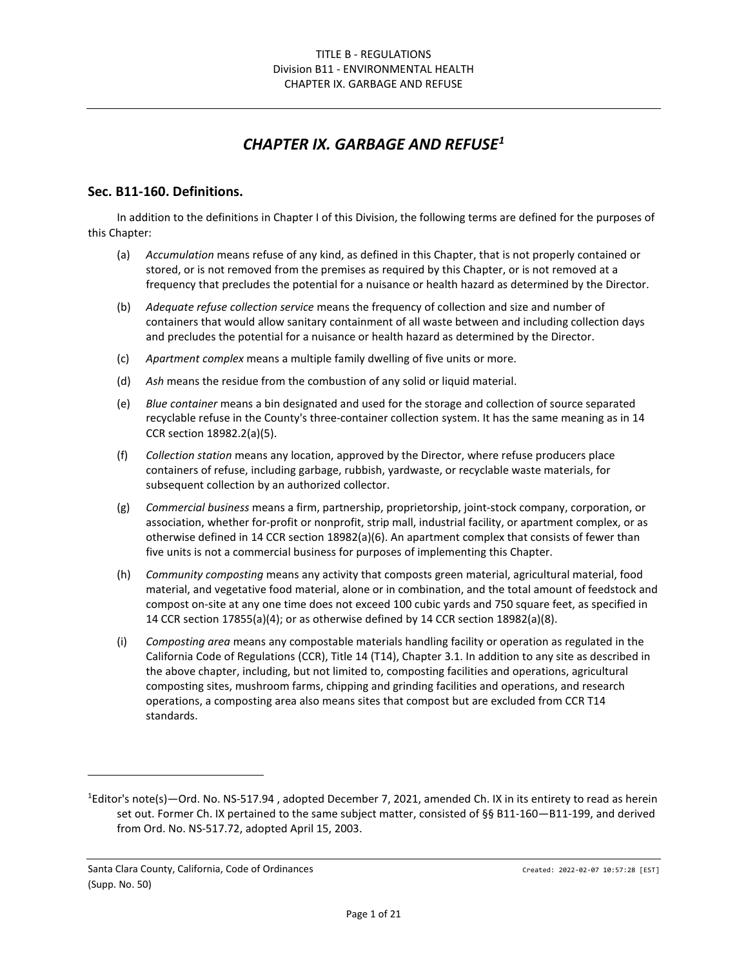# *CHAPTER IX. GARBAGE AND REFUS[E1](#page-0-0)*

#### **Sec. B11-160. Definitions.**

In addition to the definitions in Chapter I of this Division, the following terms are defined for the purposes of this Chapter:

- (a) *Accumulation* means refuse of any kind, as defined in this Chapter, that is not properly contained or stored, or is not removed from the premises as required by this Chapter, or is not removed at a frequency that precludes the potential for a nuisance or health hazard as determined by the Director.
- (b) *Adequate refuse collection service* means the frequency of collection and size and number of containers that would allow sanitary containment of all waste between and including collection days and precludes the potential for a nuisance or health hazard as determined by the Director.
- (c) *Apartment complex* means a multiple family dwelling of five units or more.
- (d) *Ash* means the residue from the combustion of any solid or liquid material.
- (e) *Blue container* means a bin designated and used for the storage and collection of source separated recyclable refuse in the County's three-container collection system. It has the same meaning as in 14 CCR section 18982.2(a)(5).
- (f) *Collection station* means any location, approved by the Director, where refuse producers place containers of refuse, including garbage, rubbish, yardwaste, or recyclable waste materials, for subsequent collection by an authorized collector.
- (g) *Commercial business* means a firm, partnership, proprietorship, joint-stock company, corporation, or association, whether for-profit or nonprofit, strip mall, industrial facility, or apartment complex, or as otherwise defined in 14 CCR section 18982(a)(6). An apartment complex that consists of fewer than five units is not a commercial business for purposes of implementing this Chapter.
- (h) *Community composting* means any activity that composts green material, agricultural material, food material, and vegetative food material, alone or in combination, and the total amount of feedstock and compost on-site at any one time does not exceed 100 cubic yards and 750 square feet, as specified in 14 CCR section 17855(a)(4); or as otherwise defined by 14 CCR section 18982(a)(8).
- (i) *Composting area* means any compostable materials handling facility or operation as regulated in the California Code of Regulations (CCR), Title 14 (T14), Chapter 3.1. In addition to any site as described in the above chapter, including, but not limited to, composting facilities and operations, agricultural composting sites, mushroom farms, chipping and grinding facilities and operations, and research operations, a composting area also means sites that compost but are excluded from CCR T14 standards.

<span id="page-0-0"></span><sup>&</sup>lt;sup>1</sup>Editor's note(s)—Ord. No. NS-517.94, adopted December 7, 2021, amended Ch. IX in its entirety to read as herein set out. Former Ch. IX pertained to the same subject matter, consisted of §§ B11-160—B11-199, and derived from Ord. No. NS-517.72, adopted April 15, 2003.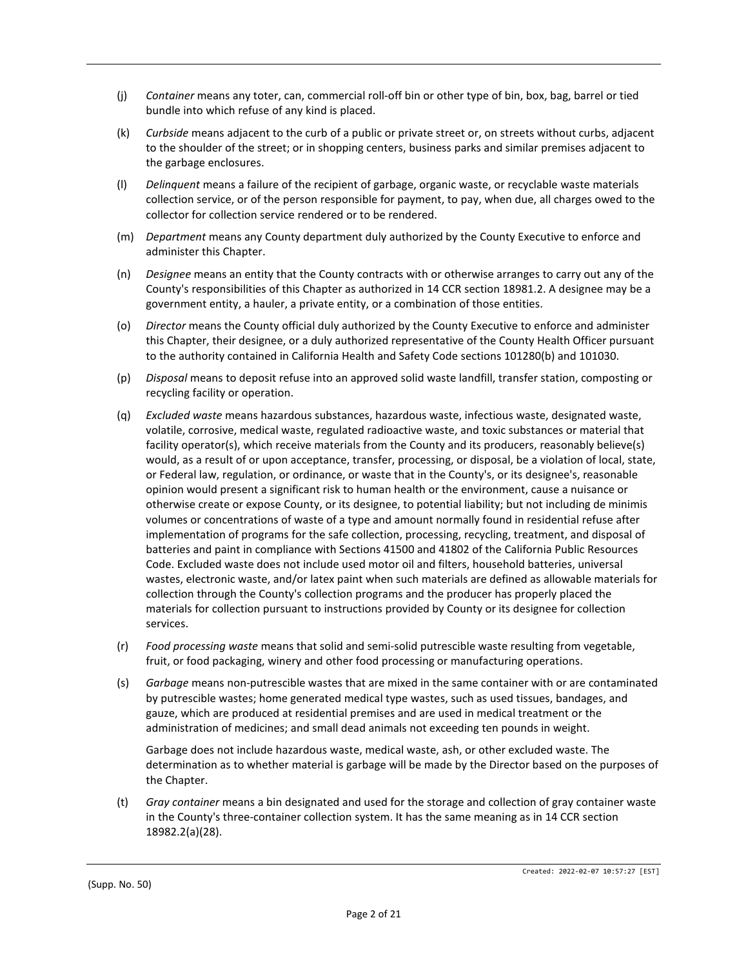- (j) *Container* means any toter, can, commercial roll-off bin or other type of bin, box, bag, barrel or tied bundle into which refuse of any kind is placed.
- (k) *Curbside* means adjacent to the curb of a public or private street or, on streets without curbs, adjacent to the shoulder of the street; or in shopping centers, business parks and similar premises adjacent to the garbage enclosures.
- (l) *Delinquent* means a failure of the recipient of garbage, organic waste, or recyclable waste materials collection service, or of the person responsible for payment, to pay, when due, all charges owed to the collector for collection service rendered or to be rendered.
- (m) *Department* means any County department duly authorized by the County Executive to enforce and administer this Chapter.
- (n) *Designee* means an entity that the County contracts with or otherwise arranges to carry out any of the County's responsibilities of this Chapter as authorized in 14 CCR section 18981.2. A designee may be a government entity, a hauler, a private entity, or a combination of those entities.
- (o) *Director* means the County official duly authorized by the County Executive to enforce and administer this Chapter, their designee, or a duly authorized representative of the County Health Officer pursuant to the authority contained in California Health and Safety Code sections 101280(b) and 101030.
- (p) *Disposal* means to deposit refuse into an approved solid waste landfill, transfer station, composting or recycling facility or operation.
- (q) *Excluded waste* means hazardous substances, hazardous waste, infectious waste, designated waste, volatile, corrosive, medical waste, regulated radioactive waste, and toxic substances or material that facility operator(s), which receive materials from the County and its producers, reasonably believe(s) would, as a result of or upon acceptance, transfer, processing, or disposal, be a violation of local, state, or Federal law, regulation, or ordinance, or waste that in the County's, or its designee's, reasonable opinion would present a significant risk to human health or the environment, cause a nuisance or otherwise create or expose County, or its designee, to potential liability; but not including de minimis volumes or concentrations of waste of a type and amount normally found in residential refuse after implementation of programs for the safe collection, processing, recycling, treatment, and disposal of batteries and paint in compliance with Sections 41500 and 41802 of the California Public Resources Code. Excluded waste does not include used motor oil and filters, household batteries, universal wastes, electronic waste, and/or latex paint when such materials are defined as allowable materials for collection through the County's collection programs and the producer has properly placed the materials for collection pursuant to instructions provided by County or its designee for collection services.
- (r) *Food processing waste* means that solid and semi-solid putrescible waste resulting from vegetable, fruit, or food packaging, winery and other food processing or manufacturing operations.
- (s) *Garbage* means non-putrescible wastes that are mixed in the same container with or are contaminated by putrescible wastes; home generated medical type wastes, such as used tissues, bandages, and gauze, which are produced at residential premises and are used in medical treatment or the administration of medicines; and small dead animals not exceeding ten pounds in weight.

Garbage does not include hazardous waste, medical waste, ash, or other excluded waste. The determination as to whether material is garbage will be made by the Director based on the purposes of the Chapter.

(t) *Gray container* means a bin designated and used for the storage and collection of gray container waste in the County's three-container collection system. It has the same meaning as in 14 CCR section 18982.2(a)(28).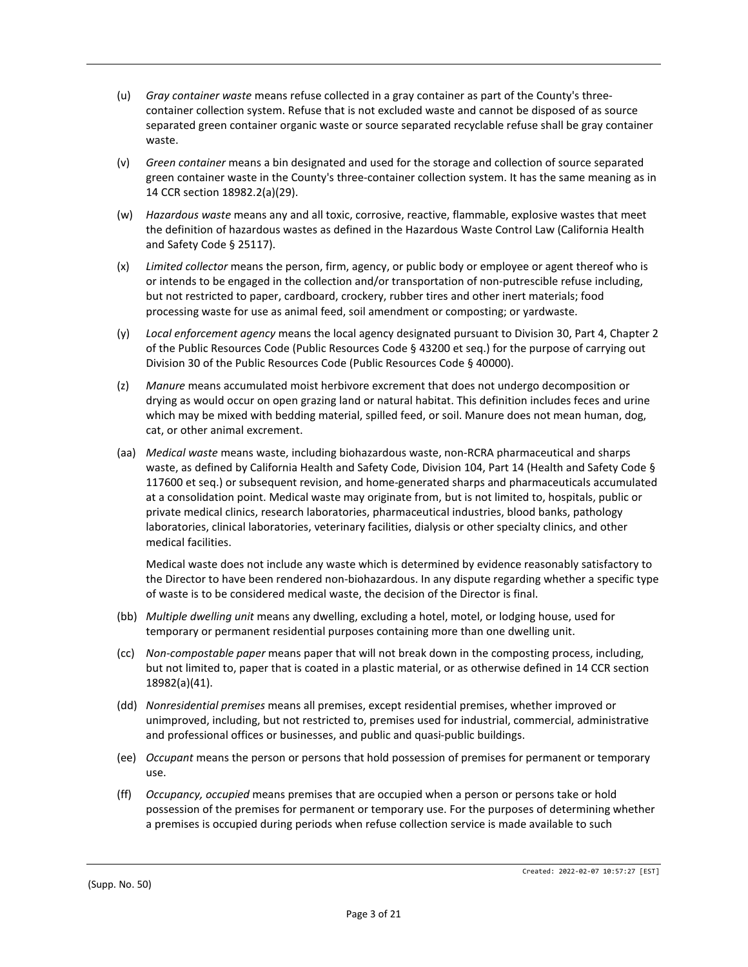- (u) *Gray container waste* means refuse collected in a gray container as part of the County's threecontainer collection system. Refuse that is not excluded waste and cannot be disposed of as source separated green container organic waste or source separated recyclable refuse shall be gray container waste.
- (v) *Green container* means a bin designated and used for the storage and collection of source separated green container waste in the County's three-container collection system. It has the same meaning as in 14 CCR section 18982.2(a)(29).
- (w) *Hazardous waste* means any and all toxic, corrosive, reactive, flammable, explosive wastes that meet the definition of hazardous wastes as defined in the Hazardous Waste Control Law (California Health and Safety Code § 25117).
- (x) *Limited collector* means the person, firm, agency, or public body or employee or agent thereof who is or intends to be engaged in the collection and/or transportation of non-putrescible refuse including, but not restricted to paper, cardboard, crockery, rubber tires and other inert materials; food processing waste for use as animal feed, soil amendment or composting; or yardwaste.
- (y) *Local enforcement agency* means the local agency designated pursuant to Division 30, Part 4, Chapter 2 of the Public Resources Code (Public Resources Code § 43200 et seq.) for the purpose of carrying out Division 30 of the Public Resources Code (Public Resources Code § 40000).
- (z) *Manure* means accumulated moist herbivore excrement that does not undergo decomposition or drying as would occur on open grazing land or natural habitat. This definition includes feces and urine which may be mixed with bedding material, spilled feed, or soil. Manure does not mean human, dog, cat, or other animal excrement.
- (aa) *Medical waste* means waste, including biohazardous waste, non-RCRA pharmaceutical and sharps waste, as defined by California Health and Safety Code, Division 104, Part 14 (Health and Safety Code § 117600 et seq.) or subsequent revision, and home-generated sharps and pharmaceuticals accumulated at a consolidation point. Medical waste may originate from, but is not limited to, hospitals, public or private medical clinics, research laboratories, pharmaceutical industries, blood banks, pathology laboratories, clinical laboratories, veterinary facilities, dialysis or other specialty clinics, and other medical facilities.

Medical waste does not include any waste which is determined by evidence reasonably satisfactory to the Director to have been rendered non-biohazardous. In any dispute regarding whether a specific type of waste is to be considered medical waste, the decision of the Director is final.

- (bb) *Multiple dwelling unit* means any dwelling, excluding a hotel, motel, or lodging house, used for temporary or permanent residential purposes containing more than one dwelling unit.
- (cc) *Non-compostable paper* means paper that will not break down in the composting process, including, but not limited to, paper that is coated in a plastic material, or as otherwise defined in 14 CCR section 18982(a)(41).
- (dd) *Nonresidential premises* means all premises, except residential premises, whether improved or unimproved, including, but not restricted to, premises used for industrial, commercial, administrative and professional offices or businesses, and public and quasi-public buildings.
- (ee) *Occupant* means the person or persons that hold possession of premises for permanent or temporary use.
- (ff) *Occupancy, occupied* means premises that are occupied when a person or persons take or hold possession of the premises for permanent or temporary use. For the purposes of determining whether a premises is occupied during periods when refuse collection service is made available to such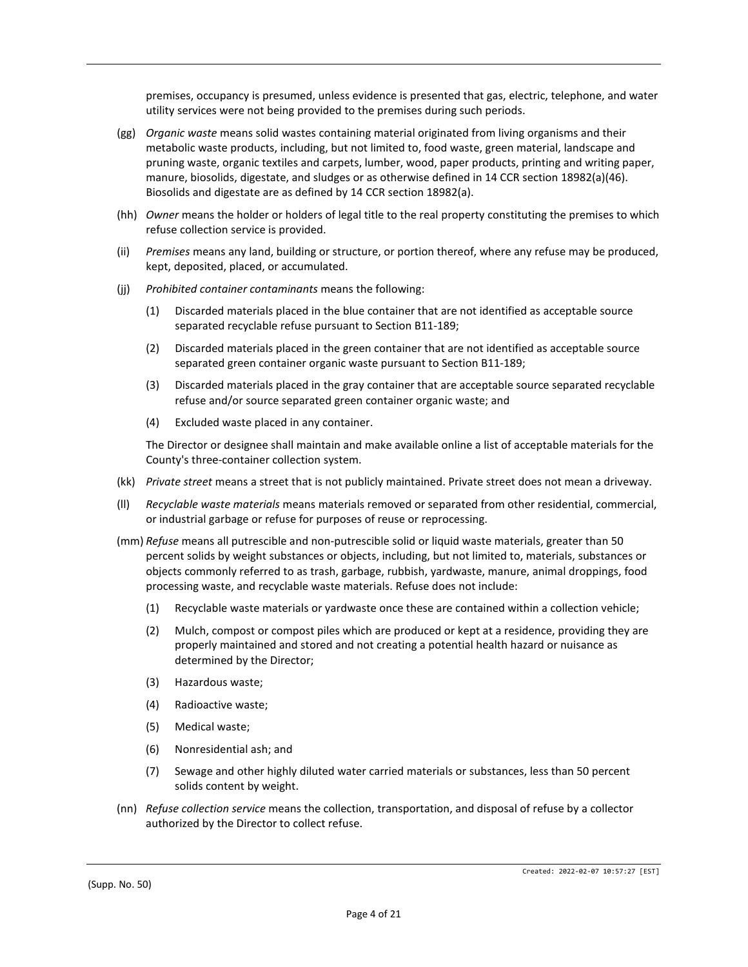premises, occupancy is presumed, unless evidence is presented that gas, electric, telephone, and water utility services were not being provided to the premises during such periods.

- (gg) *Organic waste* means solid wastes containing material originated from living organisms and their metabolic waste products, including, but not limited to, food waste, green material, landscape and pruning waste, organic textiles and carpets, lumber, wood, paper products, printing and writing paper, manure, biosolids, digestate, and sludges or as otherwise defined in 14 CCR section 18982(a)(46). Biosolids and digestate are as defined by 14 CCR section 18982(a).
- (hh) *Owner* means the holder or holders of legal title to the real property constituting the premises to which refuse collection service is provided.
- (ii) *Premises* means any land, building or structure, or portion thereof, where any refuse may be produced, kept, deposited, placed, or accumulated.
- (jj) *Prohibited container contaminants* means the following:
	- (1) Discarded materials placed in the blue container that are not identified as acceptable source separated recyclable refuse pursuant to Section B11-189;
	- (2) Discarded materials placed in the green container that are not identified as acceptable source separated green container organic waste pursuant to Section B11-189;
	- (3) Discarded materials placed in the gray container that are acceptable source separated recyclable refuse and/or source separated green container organic waste; and
	- (4) Excluded waste placed in any container.

The Director or designee shall maintain and make available online a list of acceptable materials for the County's three-container collection system.

- (kk) *Private street* means a street that is not publicly maintained. Private street does not mean a driveway.
- (ll) *Recyclable waste materials* means materials removed or separated from other residential, commercial, or industrial garbage or refuse for purposes of reuse or reprocessing.
- (mm) *Refuse* means all putrescible and non-putrescible solid or liquid waste materials, greater than 50 percent solids by weight substances or objects, including, but not limited to, materials, substances or objects commonly referred to as trash, garbage, rubbish, yardwaste, manure, animal droppings, food processing waste, and recyclable waste materials. Refuse does not include:
	- (1) Recyclable waste materials or yardwaste once these are contained within a collection vehicle;
	- (2) Mulch, compost or compost piles which are produced or kept at a residence, providing they are properly maintained and stored and not creating a potential health hazard or nuisance as determined by the Director;
	- (3) Hazardous waste;
	- (4) Radioactive waste;
	- (5) Medical waste;
	- (6) Nonresidential ash; and
	- (7) Sewage and other highly diluted water carried materials or substances, less than 50 percent solids content by weight.
- (nn) *Refuse collection service* means the collection, transportation, and disposal of refuse by a collector authorized by the Director to collect refuse.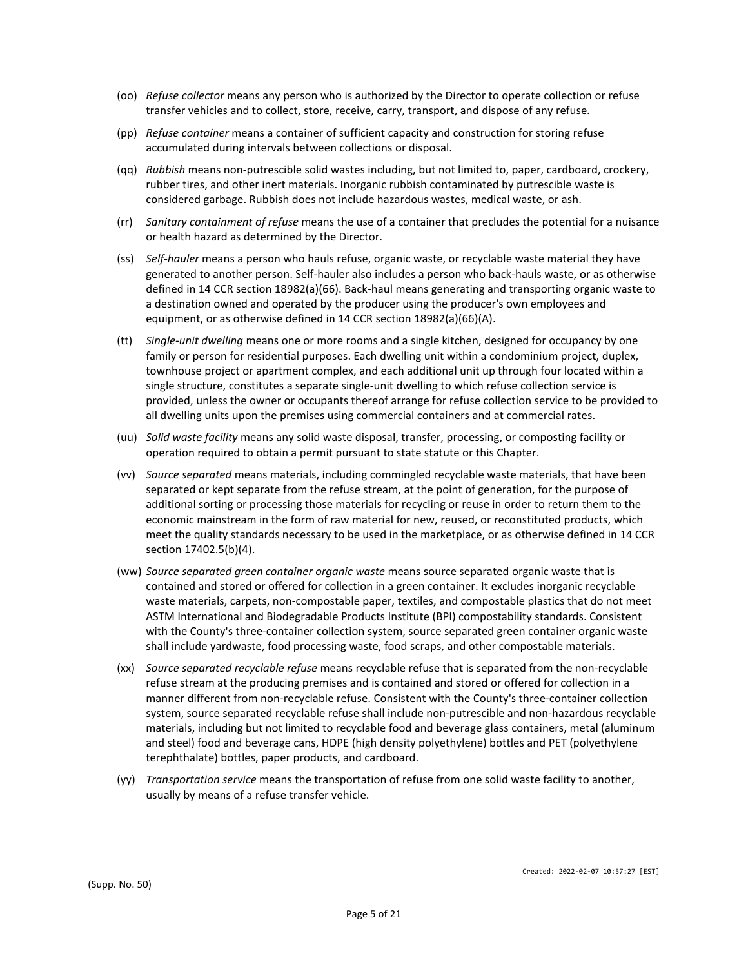- (oo) *Refuse collector* means any person who is authorized by the Director to operate collection or refuse transfer vehicles and to collect, store, receive, carry, transport, and dispose of any refuse.
- (pp) *Refuse container* means a container of sufficient capacity and construction for storing refuse accumulated during intervals between collections or disposal.
- (qq) *Rubbish* means non-putrescible solid wastes including, but not limited to, paper, cardboard, crockery, rubber tires, and other inert materials. Inorganic rubbish contaminated by putrescible waste is considered garbage. Rubbish does not include hazardous wastes, medical waste, or ash.
- (rr) *Sanitary containment of refuse* means the use of a container that precludes the potential for a nuisance or health hazard as determined by the Director.
- (ss) *Self-hauler* means a person who hauls refuse, organic waste, or recyclable waste material they have generated to another person. Self-hauler also includes a person who back-hauls waste, or as otherwise defined in 14 CCR section 18982(a)(66). Back-haul means generating and transporting organic waste to a destination owned and operated by the producer using the producer's own employees and equipment, or as otherwise defined in 14 CCR section 18982(a)(66)(A).
- (tt) *Single-unit dwelling* means one or more rooms and a single kitchen, designed for occupancy by one family or person for residential purposes. Each dwelling unit within a condominium project, duplex, townhouse project or apartment complex, and each additional unit up through four located within a single structure, constitutes a separate single-unit dwelling to which refuse collection service is provided, unless the owner or occupants thereof arrange for refuse collection service to be provided to all dwelling units upon the premises using commercial containers and at commercial rates.
- (uu) *Solid waste facility* means any solid waste disposal, transfer, processing, or composting facility or operation required to obtain a permit pursuant to state statute or this Chapter.
- (vv) *Source separated* means materials, including commingled recyclable waste materials, that have been separated or kept separate from the refuse stream, at the point of generation, for the purpose of additional sorting or processing those materials for recycling or reuse in order to return them to the economic mainstream in the form of raw material for new, reused, or reconstituted products, which meet the quality standards necessary to be used in the marketplace, or as otherwise defined in 14 CCR section 17402.5(b)(4).
- (ww) *Source separated green container organic waste* means source separated organic waste that is contained and stored or offered for collection in a green container. It excludes inorganic recyclable waste materials, carpets, non-compostable paper, textiles, and compostable plastics that do not meet ASTM International and Biodegradable Products Institute (BPI) compostability standards. Consistent with the County's three-container collection system, source separated green container organic waste shall include yardwaste, food processing waste, food scraps, and other compostable materials.
- (xx) *Source separated recyclable refuse* means recyclable refuse that is separated from the non-recyclable refuse stream at the producing premises and is contained and stored or offered for collection in a manner different from non-recyclable refuse. Consistent with the County's three-container collection system, source separated recyclable refuse shall include non-putrescible and non-hazardous recyclable materials, including but not limited to recyclable food and beverage glass containers, metal (aluminum and steel) food and beverage cans, HDPE (high density polyethylene) bottles and PET (polyethylene terephthalate) bottles, paper products, and cardboard.
- (yy) *Transportation service* means the transportation of refuse from one solid waste facility to another, usually by means of a refuse transfer vehicle.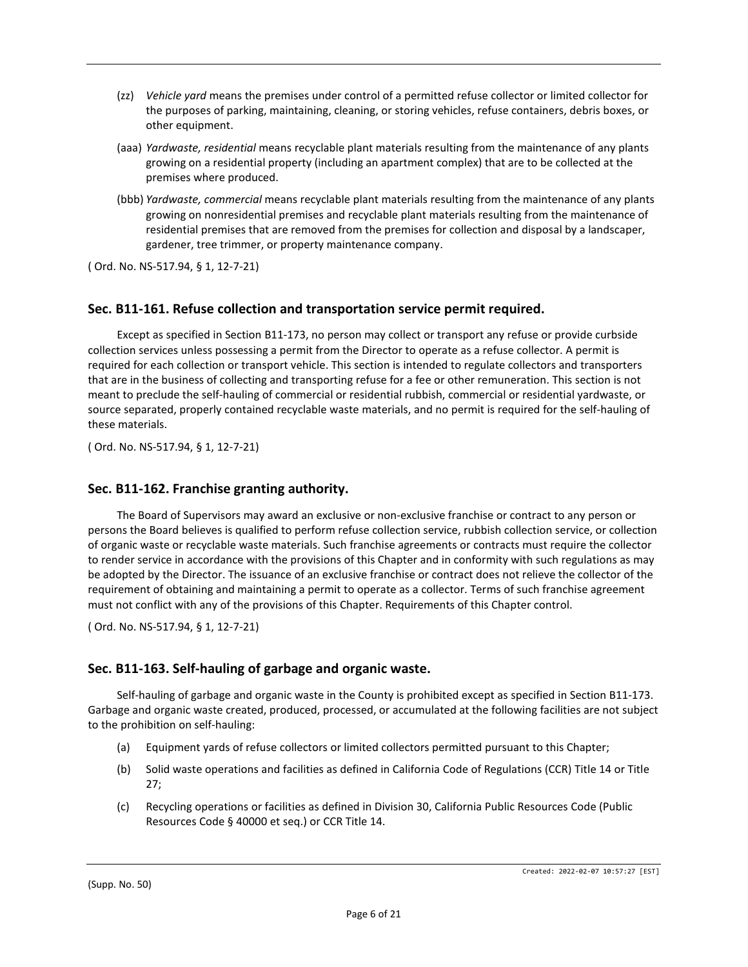- (zz) *Vehicle yard* means the premises under control of a permitted refuse collector or limited collector for the purposes of parking, maintaining, cleaning, or storing vehicles, refuse containers, debris boxes, or other equipment.
- (aaa) *Yardwaste, residential* means recyclable plant materials resulting from the maintenance of any plants growing on a residential property (including an apartment complex) that are to be collected at the premises where produced.
- (bbb) *Yardwaste, commercial* means recyclable plant materials resulting from the maintenance of any plants growing on nonresidential premises and recyclable plant materials resulting from the maintenance of residential premises that are removed from the premises for collection and disposal by a landscaper, gardener, tree trimmer, or property maintenance company.

## **Sec. B11-161. Refuse collection and transportation service permit required.**

Except as specified in Section B11-173, no person may collect or transport any refuse or provide curbside collection services unless possessing a permit from the Director to operate as a refuse collector. A permit is required for each collection or transport vehicle. This section is intended to regulate collectors and transporters that are in the business of collecting and transporting refuse for a fee or other remuneration. This section is not meant to preclude the self-hauling of commercial or residential rubbish, commercial or residential yardwaste, or source separated, properly contained recyclable waste materials, and no permit is required for the self-hauling of these materials.

( Ord. No. NS-517.94, § 1, 12-7-21)

#### **Sec. B11-162. Franchise granting authority.**

The Board of Supervisors may award an exclusive or non-exclusive franchise or contract to any person or persons the Board believes is qualified to perform refuse collection service, rubbish collection service, or collection of organic waste or recyclable waste materials. Such franchise agreements or contracts must require the collector to render service in accordance with the provisions of this Chapter and in conformity with such regulations as may be adopted by the Director. The issuance of an exclusive franchise or contract does not relieve the collector of the requirement of obtaining and maintaining a permit to operate as a collector. Terms of such franchise agreement must not conflict with any of the provisions of this Chapter. Requirements of this Chapter control.

( Ord. No. NS-517.94, § 1, 12-7-21)

## **Sec. B11-163. Self-hauling of garbage and organic waste.**

Self-hauling of garbage and organic waste in the County is prohibited except as specified in Section B11-173. Garbage and organic waste created, produced, processed, or accumulated at the following facilities are not subject to the prohibition on self-hauling:

- (a) Equipment yards of refuse collectors or limited collectors permitted pursuant to this Chapter;
- (b) Solid waste operations and facilities as defined in California Code of Regulations (CCR) Title 14 or Title 27;
- (c) Recycling operations or facilities as defined in Division 30, California Public Resources Code (Public Resources Code § 40000 et seq.) or CCR Title 14.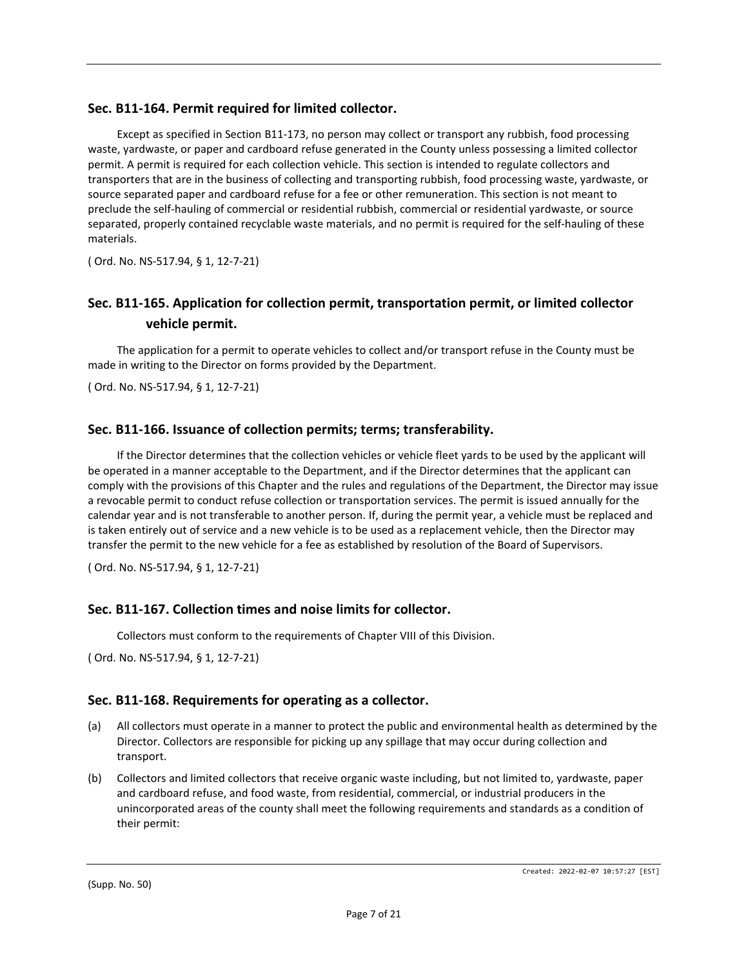## **Sec. B11-164. Permit required for limited collector.**

Except as specified in Section B11-173, no person may collect or transport any rubbish, food processing waste, yardwaste, or paper and cardboard refuse generated in the County unless possessing a limited collector permit. A permit is required for each collection vehicle. This section is intended to regulate collectors and transporters that are in the business of collecting and transporting rubbish, food processing waste, yardwaste, or source separated paper and cardboard refuse for a fee or other remuneration. This section is not meant to preclude the self-hauling of commercial or residential rubbish, commercial or residential yardwaste, or source separated, properly contained recyclable waste materials, and no permit is required for the self-hauling of these materials.

( Ord. No. NS-517.94, § 1, 12-7-21)

## **Sec. B11-165. Application for collection permit, transportation permit, or limited collector vehicle permit.**

The application for a permit to operate vehicles to collect and/or transport refuse in the County must be made in writing to the Director on forms provided by the Department.

( Ord. No. NS-517.94, § 1, 12-7-21)

## **Sec. B11-166. Issuance of collection permits; terms; transferability.**

If the Director determines that the collection vehicles or vehicle fleet yards to be used by the applicant will be operated in a manner acceptable to the Department, and if the Director determines that the applicant can comply with the provisions of this Chapter and the rules and regulations of the Department, the Director may issue a revocable permit to conduct refuse collection or transportation services. The permit is issued annually for the calendar year and is not transferable to another person. If, during the permit year, a vehicle must be replaced and is taken entirely out of service and a new vehicle is to be used as a replacement vehicle, then the Director may transfer the permit to the new vehicle for a fee as established by resolution of the Board of Supervisors.

( Ord. No. NS-517.94, § 1, 12-7-21)

## **Sec. B11-167. Collection times and noise limits for collector.**

Collectors must conform to the requirements of Chapter VIII of this Division.

( Ord. No. NS-517.94, § 1, 12-7-21)

## **Sec. B11-168. Requirements for operating as a collector.**

- (a) All collectors must operate in a manner to protect the public and environmental health as determined by the Director. Collectors are responsible for picking up any spillage that may occur during collection and transport.
- (b) Collectors and limited collectors that receive organic waste including, but not limited to, yardwaste, paper and cardboard refuse, and food waste, from residential, commercial, or industrial producers in the unincorporated areas of the county shall meet the following requirements and standards as a condition of their permit: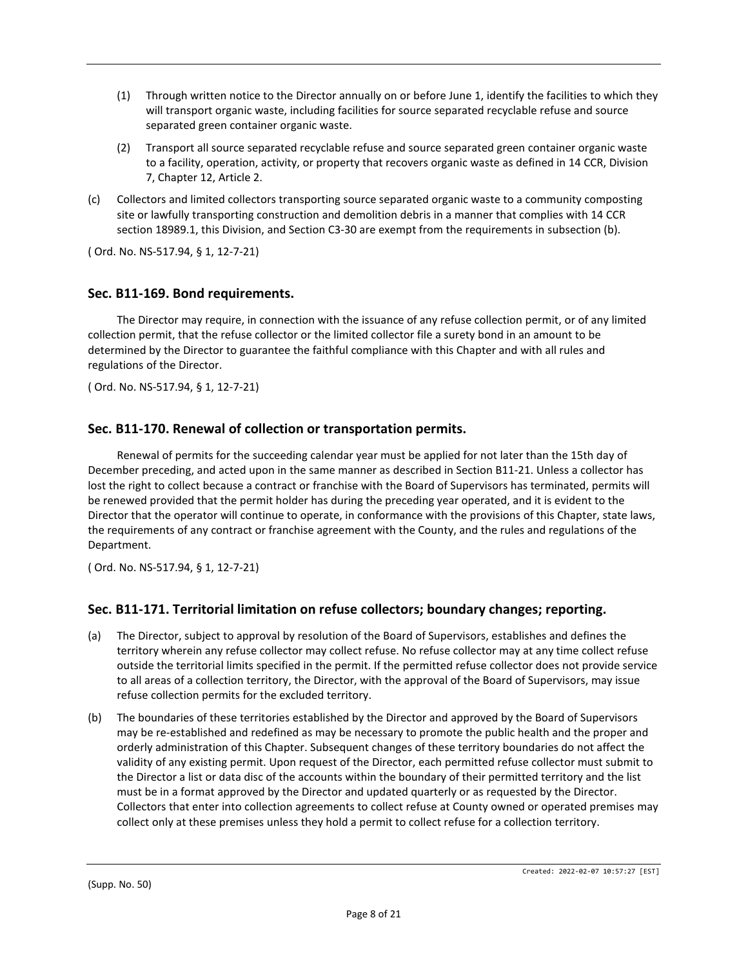- (1) Through written notice to the Director annually on or before June 1, identify the facilities to which they will transport organic waste, including facilities for source separated recyclable refuse and source separated green container organic waste.
- (2) Transport all source separated recyclable refuse and source separated green container organic waste to a facility, operation, activity, or property that recovers organic waste as defined in 14 CCR, Division 7, Chapter 12, Article 2.
- (c) Collectors and limited collectors transporting source separated organic waste to a community composting site or lawfully transporting construction and demolition debris in a manner that complies with 14 CCR section 18989.1, this Division, and Section C3-30 are exempt from the requirements in subsection (b).

## **Sec. B11-169. Bond requirements.**

The Director may require, in connection with the issuance of any refuse collection permit, or of any limited collection permit, that the refuse collector or the limited collector file a surety bond in an amount to be determined by the Director to guarantee the faithful compliance with this Chapter and with all rules and regulations of the Director.

( Ord. No. NS-517.94, § 1, 12-7-21)

## **Sec. B11-170. Renewal of collection or transportation permits.**

Renewal of permits for the succeeding calendar year must be applied for not later than the 15th day of December preceding, and acted upon in the same manner as described in Section B11-21. Unless a collector has lost the right to collect because a contract or franchise with the Board of Supervisors has terminated, permits will be renewed provided that the permit holder has during the preceding year operated, and it is evident to the Director that the operator will continue to operate, in conformance with the provisions of this Chapter, state laws, the requirements of any contract or franchise agreement with the County, and the rules and regulations of the Department.

( Ord. No. NS-517.94, § 1, 12-7-21)

## **Sec. B11-171. Territorial limitation on refuse collectors; boundary changes; reporting.**

- (a) The Director, subject to approval by resolution of the Board of Supervisors, establishes and defines the territory wherein any refuse collector may collect refuse. No refuse collector may at any time collect refuse outside the territorial limits specified in the permit. If the permitted refuse collector does not provide service to all areas of a collection territory, the Director, with the approval of the Board of Supervisors, may issue refuse collection permits for the excluded territory.
- (b) The boundaries of these territories established by the Director and approved by the Board of Supervisors may be re-established and redefined as may be necessary to promote the public health and the proper and orderly administration of this Chapter. Subsequent changes of these territory boundaries do not affect the validity of any existing permit. Upon request of the Director, each permitted refuse collector must submit to the Director a list or data disc of the accounts within the boundary of their permitted territory and the list must be in a format approved by the Director and updated quarterly or as requested by the Director. Collectors that enter into collection agreements to collect refuse at County owned or operated premises may collect only at these premises unless they hold a permit to collect refuse for a collection territory.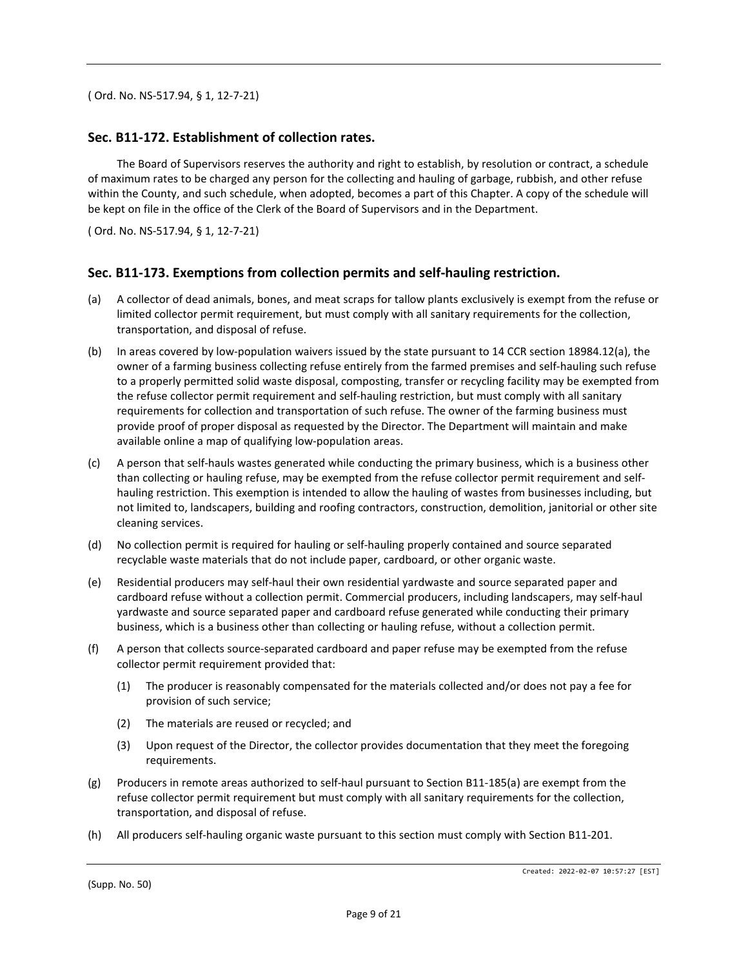#### **Sec. B11-172. Establishment of collection rates.**

The Board of Supervisors reserves the authority and right to establish, by resolution or contract, a schedule of maximum rates to be charged any person for the collecting and hauling of garbage, rubbish, and other refuse within the County, and such schedule, when adopted, becomes a part of this Chapter. A copy of the schedule will be kept on file in the office of the Clerk of the Board of Supervisors and in the Department.

( Ord. No. NS-517.94, § 1, 12-7-21)

#### **Sec. B11-173. Exemptions from collection permits and self-hauling restriction.**

- (a) A collector of dead animals, bones, and meat scraps for tallow plants exclusively is exempt from the refuse or limited collector permit requirement, but must comply with all sanitary requirements for the collection, transportation, and disposal of refuse.
- (b) In areas covered by low-population waivers issued by the state pursuant to 14 CCR section 18984.12(a), the owner of a farming business collecting refuse entirely from the farmed premises and self-hauling such refuse to a properly permitted solid waste disposal, composting, transfer or recycling facility may be exempted from the refuse collector permit requirement and self-hauling restriction, but must comply with all sanitary requirements for collection and transportation of such refuse. The owner of the farming business must provide proof of proper disposal as requested by the Director. The Department will maintain and make available online a map of qualifying low-population areas.
- (c) A person that self-hauls wastes generated while conducting the primary business, which is a business other than collecting or hauling refuse, may be exempted from the refuse collector permit requirement and selfhauling restriction. This exemption is intended to allow the hauling of wastes from businesses including, but not limited to, landscapers, building and roofing contractors, construction, demolition, janitorial or other site cleaning services.
- (d) No collection permit is required for hauling or self-hauling properly contained and source separated recyclable waste materials that do not include paper, cardboard, or other organic waste.
- (e) Residential producers may self-haul their own residential yardwaste and source separated paper and cardboard refuse without a collection permit. Commercial producers, including landscapers, may self-haul yardwaste and source separated paper and cardboard refuse generated while conducting their primary business, which is a business other than collecting or hauling refuse, without a collection permit.
- (f) A person that collects source-separated cardboard and paper refuse may be exempted from the refuse collector permit requirement provided that:
	- (1) The producer is reasonably compensated for the materials collected and/or does not pay a fee for provision of such service;
	- (2) The materials are reused or recycled; and
	- (3) Upon request of the Director, the collector provides documentation that they meet the foregoing requirements.
- (g) Producers in remote areas authorized to self-haul pursuant to Section B11-185(a) are exempt from the refuse collector permit requirement but must comply with all sanitary requirements for the collection, transportation, and disposal of refuse.
- (h) All producers self-hauling organic waste pursuant to this section must comply with Section B11-201.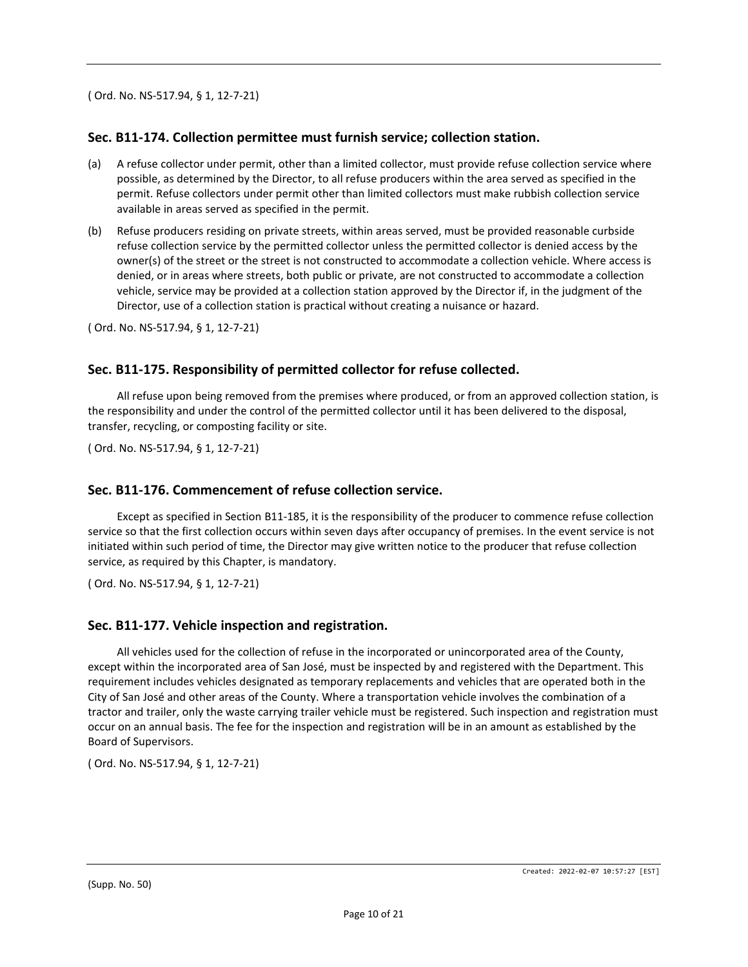## **Sec. B11-174. Collection permittee must furnish service; collection station.**

- (a) A refuse collector under permit, other than a limited collector, must provide refuse collection service where possible, as determined by the Director, to all refuse producers within the area served as specified in the permit. Refuse collectors under permit other than limited collectors must make rubbish collection service available in areas served as specified in the permit.
- (b) Refuse producers residing on private streets, within areas served, must be provided reasonable curbside refuse collection service by the permitted collector unless the permitted collector is denied access by the owner(s) of the street or the street is not constructed to accommodate a collection vehicle. Where access is denied, or in areas where streets, both public or private, are not constructed to accommodate a collection vehicle, service may be provided at a collection station approved by the Director if, in the judgment of the Director, use of a collection station is practical without creating a nuisance or hazard.

( Ord. No. NS-517.94, § 1, 12-7-21)

## **Sec. B11-175. Responsibility of permitted collector for refuse collected.**

All refuse upon being removed from the premises where produced, or from an approved collection station, is the responsibility and under the control of the permitted collector until it has been delivered to the disposal, transfer, recycling, or composting facility or site.

( Ord. No. NS-517.94, § 1, 12-7-21)

#### **Sec. B11-176. Commencement of refuse collection service.**

Except as specified in Section B11-185, it is the responsibility of the producer to commence refuse collection service so that the first collection occurs within seven days after occupancy of premises. In the event service is not initiated within such period of time, the Director may give written notice to the producer that refuse collection service, as required by this Chapter, is mandatory.

( Ord. No. NS-517.94, § 1, 12-7-21)

#### **Sec. B11-177. Vehicle inspection and registration.**

All vehicles used for the collection of refuse in the incorporated or unincorporated area of the County, except within the incorporated area of San José, must be inspected by and registered with the Department. This requirement includes vehicles designated as temporary replacements and vehicles that are operated both in the City of San José and other areas of the County. Where a transportation vehicle involves the combination of a tractor and trailer, only the waste carrying trailer vehicle must be registered. Such inspection and registration must occur on an annual basis. The fee for the inspection and registration will be in an amount as established by the Board of Supervisors.

( Ord. No. NS-517.94, § 1, 12-7-21)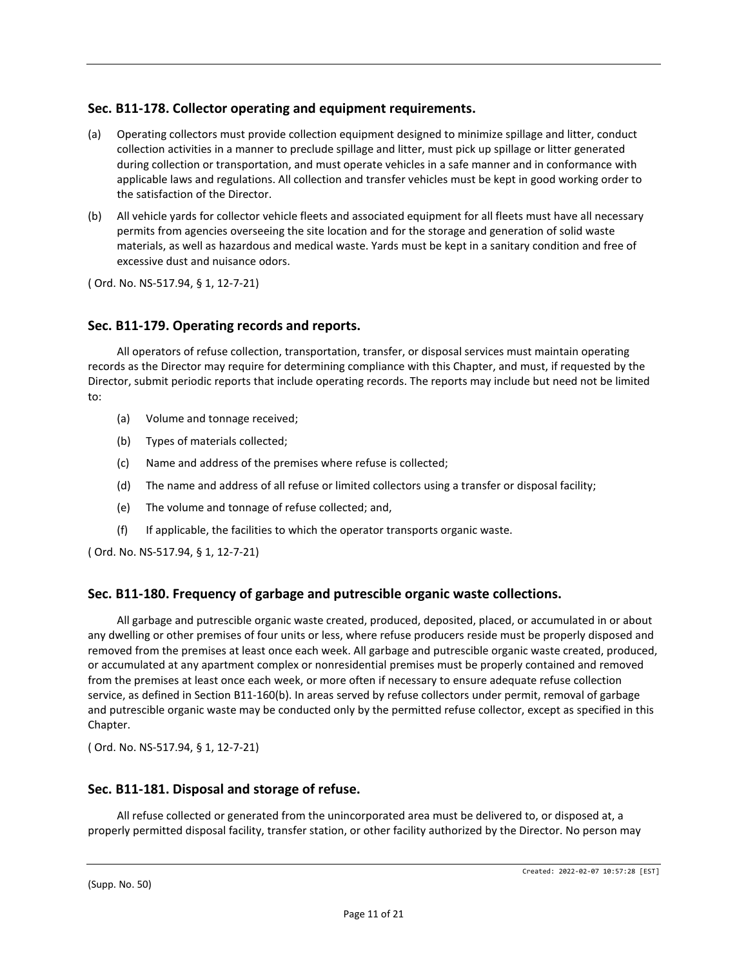## **Sec. B11-178. Collector operating and equipment requirements.**

- (a) Operating collectors must provide collection equipment designed to minimize spillage and litter, conduct collection activities in a manner to preclude spillage and litter, must pick up spillage or litter generated during collection or transportation, and must operate vehicles in a safe manner and in conformance with applicable laws and regulations. All collection and transfer vehicles must be kept in good working order to the satisfaction of the Director.
- (b) All vehicle yards for collector vehicle fleets and associated equipment for all fleets must have all necessary permits from agencies overseeing the site location and for the storage and generation of solid waste materials, as well as hazardous and medical waste. Yards must be kept in a sanitary condition and free of excessive dust and nuisance odors.

( Ord. No. NS-517.94, § 1, 12-7-21)

## **Sec. B11-179. Operating records and reports.**

All operators of refuse collection, transportation, transfer, or disposal services must maintain operating records as the Director may require for determining compliance with this Chapter, and must, if requested by the Director, submit periodic reports that include operating records. The reports may include but need not be limited to:

- (a) Volume and tonnage received;
- (b) Types of materials collected;
- (c) Name and address of the premises where refuse is collected;
- (d) The name and address of all refuse or limited collectors using a transfer or disposal facility;
- (e) The volume and tonnage of refuse collected; and,
- (f) If applicable, the facilities to which the operator transports organic waste.

( Ord. No. NS-517.94, § 1, 12-7-21)

## **Sec. B11-180. Frequency of garbage and putrescible organic waste collections.**

All garbage and putrescible organic waste created, produced, deposited, placed, or accumulated in or about any dwelling or other premises of four units or less, where refuse producers reside must be properly disposed and removed from the premises at least once each week. All garbage and putrescible organic waste created, produced, or accumulated at any apartment complex or nonresidential premises must be properly contained and removed from the premises at least once each week, or more often if necessary to ensure adequate refuse collection service, as defined in Section B11-160(b). In areas served by refuse collectors under permit, removal of garbage and putrescible organic waste may be conducted only by the permitted refuse collector, except as specified in this Chapter.

( Ord. No. NS-517.94, § 1, 12-7-21)

## **Sec. B11-181. Disposal and storage of refuse.**

All refuse collected or generated from the unincorporated area must be delivered to, or disposed at, a properly permitted disposal facility, transfer station, or other facility authorized by the Director. No person may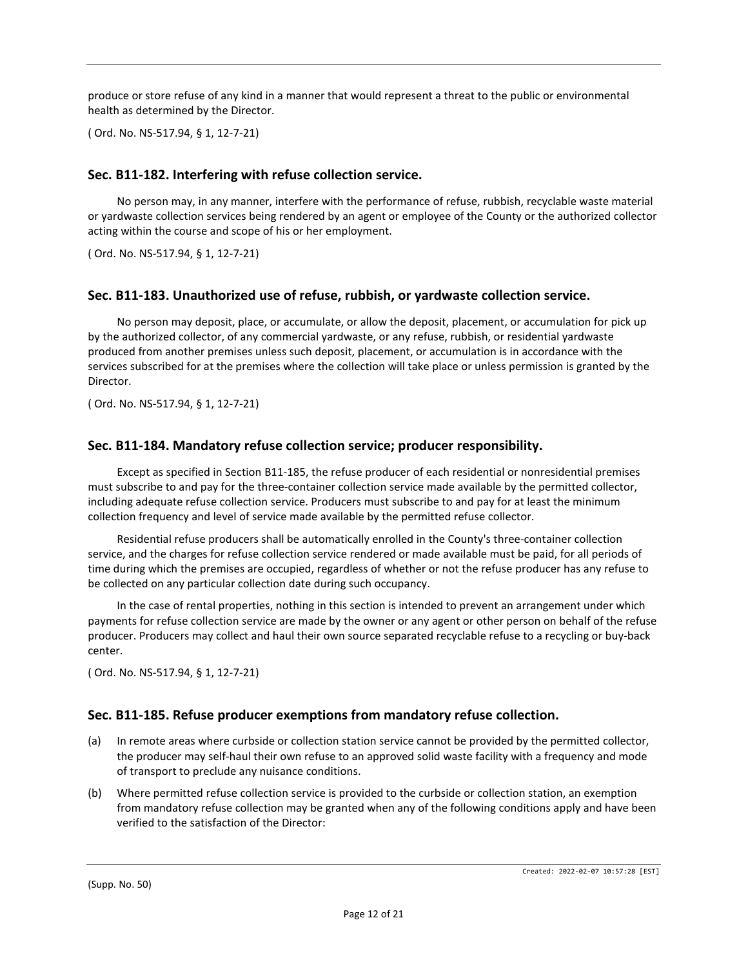produce or store refuse of any kind in a manner that would represent a threat to the public or environmental health as determined by the Director.

( Ord. No. NS-517.94, § 1, 12-7-21)

#### **Sec. B11-182. Interfering with refuse collection service.**

No person may, in any manner, interfere with the performance of refuse, rubbish, recyclable waste material or yardwaste collection services being rendered by an agent or employee of the County or the authorized collector acting within the course and scope of his or her employment.

( Ord. No. NS-517.94, § 1, 12-7-21)

#### **Sec. B11-183. Unauthorized use of refuse, rubbish, or yardwaste collection service.**

No person may deposit, place, or accumulate, or allow the deposit, placement, or accumulation for pick up by the authorized collector, of any commercial yardwaste, or any refuse, rubbish, or residential yardwaste produced from another premises unless such deposit, placement, or accumulation is in accordance with the services subscribed for at the premises where the collection will take place or unless permission is granted by the Director.

( Ord. No. NS-517.94, § 1, 12-7-21)

#### **Sec. B11-184. Mandatory refuse collection service; producer responsibility.**

Except as specified in Section B11-185, the refuse producer of each residential or nonresidential premises must subscribe to and pay for the three-container collection service made available by the permitted collector, including adequate refuse collection service. Producers must subscribe to and pay for at least the minimum collection frequency and level of service made available by the permitted refuse collector.

Residential refuse producers shall be automatically enrolled in the County's three-container collection service, and the charges for refuse collection service rendered or made available must be paid, for all periods of time during which the premises are occupied, regardless of whether or not the refuse producer has any refuse to be collected on any particular collection date during such occupancy.

In the case of rental properties, nothing in this section is intended to prevent an arrangement under which payments for refuse collection service are made by the owner or any agent or other person on behalf of the refuse producer. Producers may collect and haul their own source separated recyclable refuse to a recycling or buy-back center.

( Ord. No. NS-517.94, § 1, 12-7-21)

## **Sec. B11-185. Refuse producer exemptions from mandatory refuse collection.**

- (a) In remote areas where curbside or collection station service cannot be provided by the permitted collector, the producer may self-haul their own refuse to an approved solid waste facility with a frequency and mode of transport to preclude any nuisance conditions.
- (b) Where permitted refuse collection service is provided to the curbside or collection station, an exemption from mandatory refuse collection may be granted when any of the following conditions apply and have been verified to the satisfaction of the Director: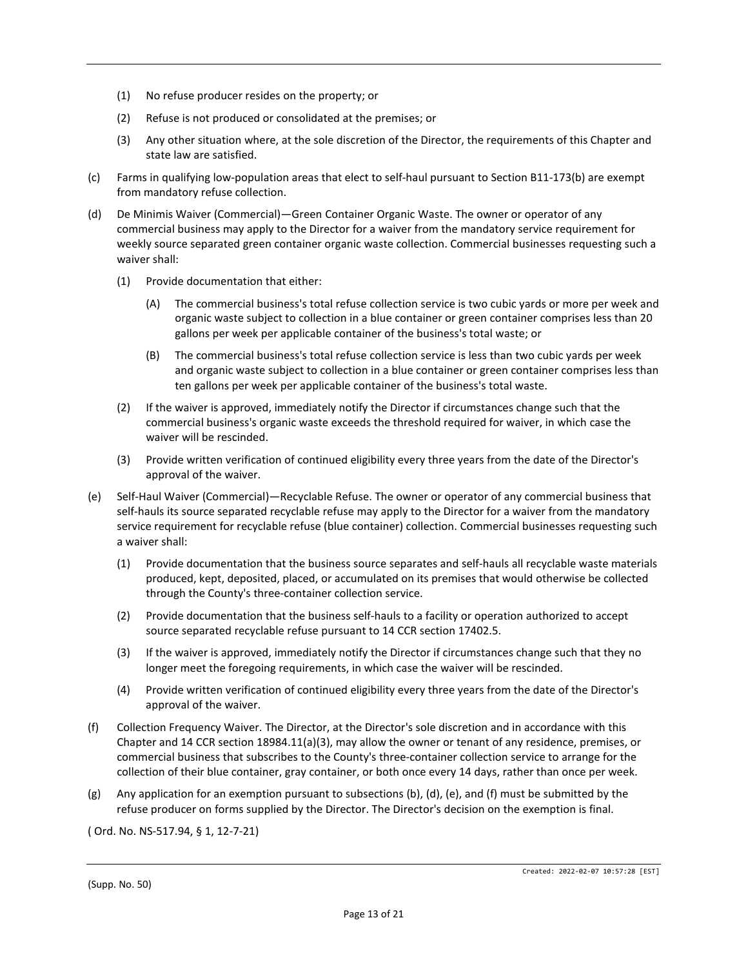- (1) No refuse producer resides on the property; or
- (2) Refuse is not produced or consolidated at the premises; or
- (3) Any other situation where, at the sole discretion of the Director, the requirements of this Chapter and state law are satisfied.
- (c) Farms in qualifying low-population areas that elect to self-haul pursuant to Section B11-173(b) are exempt from mandatory refuse collection.
- (d) De Minimis Waiver (Commercial)—Green Container Organic Waste. The owner or operator of any commercial business may apply to the Director for a waiver from the mandatory service requirement for weekly source separated green container organic waste collection. Commercial businesses requesting such a waiver shall:
	- (1) Provide documentation that either:
		- (A) The commercial business's total refuse collection service is two cubic yards or more per week and organic waste subject to collection in a blue container or green container comprises less than 20 gallons per week per applicable container of the business's total waste; or
		- (B) The commercial business's total refuse collection service is less than two cubic yards per week and organic waste subject to collection in a blue container or green container comprises less than ten gallons per week per applicable container of the business's total waste.
	- (2) If the waiver is approved, immediately notify the Director if circumstances change such that the commercial business's organic waste exceeds the threshold required for waiver, in which case the waiver will be rescinded.
	- (3) Provide written verification of continued eligibility every three years from the date of the Director's approval of the waiver.
- (e) Self-Haul Waiver (Commercial)—Recyclable Refuse. The owner or operator of any commercial business that self-hauls its source separated recyclable refuse may apply to the Director for a waiver from the mandatory service requirement for recyclable refuse (blue container) collection. Commercial businesses requesting such a waiver shall:
	- (1) Provide documentation that the business source separates and self-hauls all recyclable waste materials produced, kept, deposited, placed, or accumulated on its premises that would otherwise be collected through the County's three-container collection service.
	- (2) Provide documentation that the business self-hauls to a facility or operation authorized to accept source separated recyclable refuse pursuant to 14 CCR section 17402.5.
	- (3) If the waiver is approved, immediately notify the Director if circumstances change such that they no longer meet the foregoing requirements, in which case the waiver will be rescinded.
	- (4) Provide written verification of continued eligibility every three years from the date of the Director's approval of the waiver.
- (f) Collection Frequency Waiver. The Director, at the Director's sole discretion and in accordance with this Chapter and 14 CCR section 18984.11(a)(3), may allow the owner or tenant of any residence, premises, or commercial business that subscribes to the County's three-container collection service to arrange for the collection of their blue container, gray container, or both once every 14 days, rather than once per week.
- (g) Any application for an exemption pursuant to subsections (b), (d), (e), and (f) must be submitted by the refuse producer on forms supplied by the Director. The Director's decision on the exemption is final.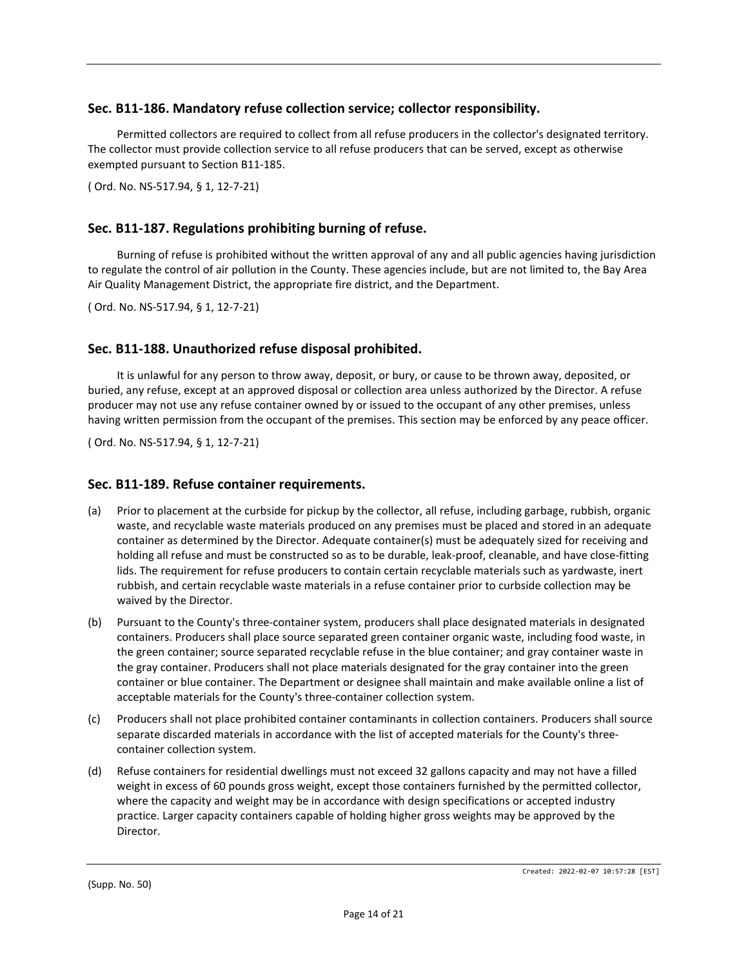## **Sec. B11-186. Mandatory refuse collection service; collector responsibility.**

Permitted collectors are required to collect from all refuse producers in the collector's designated territory. The collector must provide collection service to all refuse producers that can be served, except as otherwise exempted pursuant to Section B11-185.

( Ord. No. NS-517.94, § 1, 12-7-21)

## **Sec. B11-187. Regulations prohibiting burning of refuse.**

Burning of refuse is prohibited without the written approval of any and all public agencies having jurisdiction to regulate the control of air pollution in the County. These agencies include, but are not limited to, the Bay Area Air Quality Management District, the appropriate fire district, and the Department.

( Ord. No. NS-517.94, § 1, 12-7-21)

## **Sec. B11-188. Unauthorized refuse disposal prohibited.**

It is unlawful for any person to throw away, deposit, or bury, or cause to be thrown away, deposited, or buried, any refuse, except at an approved disposal or collection area unless authorized by the Director. A refuse producer may not use any refuse container owned by or issued to the occupant of any other premises, unless having written permission from the occupant of the premises. This section may be enforced by any peace officer.

( Ord. No. NS-517.94, § 1, 12-7-21)

#### **Sec. B11-189. Refuse container requirements.**

- (a) Prior to placement at the curbside for pickup by the collector, all refuse, including garbage, rubbish, organic waste, and recyclable waste materials produced on any premises must be placed and stored in an adequate container as determined by the Director. Adequate container(s) must be adequately sized for receiving and holding all refuse and must be constructed so as to be durable, leak-proof, cleanable, and have close-fitting lids. The requirement for refuse producers to contain certain recyclable materials such as yardwaste, inert rubbish, and certain recyclable waste materials in a refuse container prior to curbside collection may be waived by the Director.
- (b) Pursuant to the County's three-container system, producers shall place designated materials in designated containers. Producers shall place source separated green container organic waste, including food waste, in the green container; source separated recyclable refuse in the blue container; and gray container waste in the gray container. Producers shall not place materials designated for the gray container into the green container or blue container. The Department or designee shall maintain and make available online a list of acceptable materials for the County's three-container collection system.
- (c) Producers shall not place prohibited container contaminants in collection containers. Producers shall source separate discarded materials in accordance with the list of accepted materials for the County's threecontainer collection system.
- (d) Refuse containers for residential dwellings must not exceed 32 gallons capacity and may not have a filled weight in excess of 60 pounds gross weight, except those containers furnished by the permitted collector, where the capacity and weight may be in accordance with design specifications or accepted industry practice. Larger capacity containers capable of holding higher gross weights may be approved by the Director.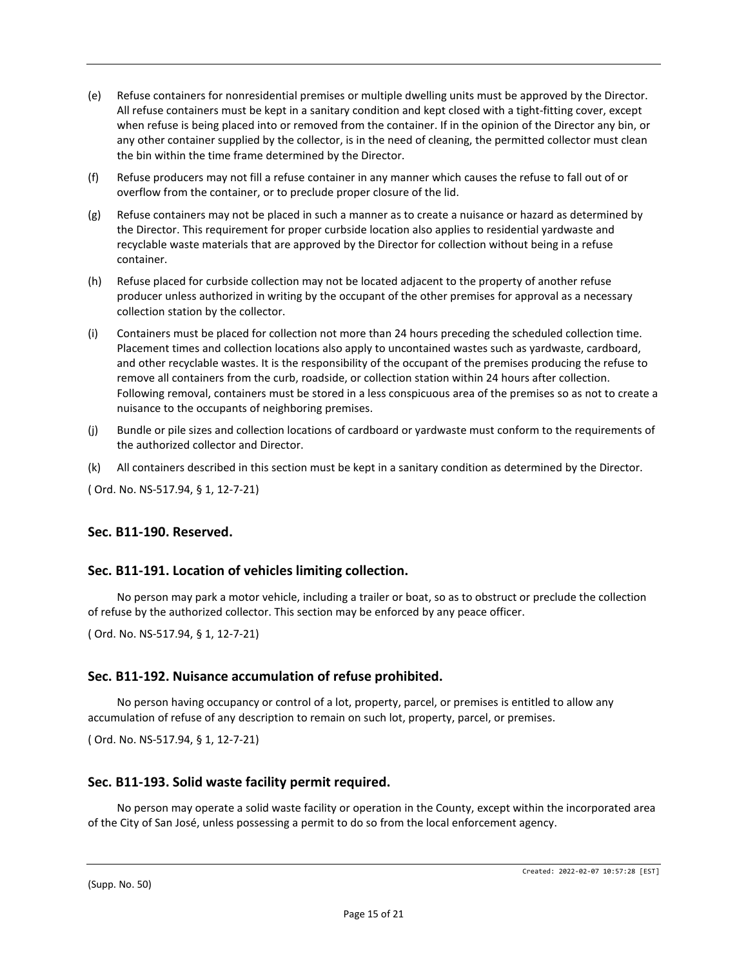- (e) Refuse containers for nonresidential premises or multiple dwelling units must be approved by the Director. All refuse containers must be kept in a sanitary condition and kept closed with a tight-fitting cover, except when refuse is being placed into or removed from the container. If in the opinion of the Director any bin, or any other container supplied by the collector, is in the need of cleaning, the permitted collector must clean the bin within the time frame determined by the Director.
- (f) Refuse producers may not fill a refuse container in any manner which causes the refuse to fall out of or overflow from the container, or to preclude proper closure of the lid.
- (g) Refuse containers may not be placed in such a manner as to create a nuisance or hazard as determined by the Director. This requirement for proper curbside location also applies to residential yardwaste and recyclable waste materials that are approved by the Director for collection without being in a refuse container.
- (h) Refuse placed for curbside collection may not be located adjacent to the property of another refuse producer unless authorized in writing by the occupant of the other premises for approval as a necessary collection station by the collector.
- (i) Containers must be placed for collection not more than 24 hours preceding the scheduled collection time. Placement times and collection locations also apply to uncontained wastes such as yardwaste, cardboard, and other recyclable wastes. It is the responsibility of the occupant of the premises producing the refuse to remove all containers from the curb, roadside, or collection station within 24 hours after collection. Following removal, containers must be stored in a less conspicuous area of the premises so as not to create a nuisance to the occupants of neighboring premises.
- (j) Bundle or pile sizes and collection locations of cardboard or yardwaste must conform to the requirements of the authorized collector and Director.
- (k) All containers described in this section must be kept in a sanitary condition as determined by the Director.

#### **Sec. B11-190. Reserved.**

#### **Sec. B11-191. Location of vehicles limiting collection.**

No person may park a motor vehicle, including a trailer or boat, so as to obstruct or preclude the collection of refuse by the authorized collector. This section may be enforced by any peace officer.

( Ord. No. NS-517.94, § 1, 12-7-21)

#### **Sec. B11-192. Nuisance accumulation of refuse prohibited.**

No person having occupancy or control of a lot, property, parcel, or premises is entitled to allow any accumulation of refuse of any description to remain on such lot, property, parcel, or premises.

( Ord. No. NS-517.94, § 1, 12-7-21)

#### **Sec. B11-193. Solid waste facility permit required.**

No person may operate a solid waste facility or operation in the County, except within the incorporated area of the City of San José, unless possessing a permit to do so from the local enforcement agency.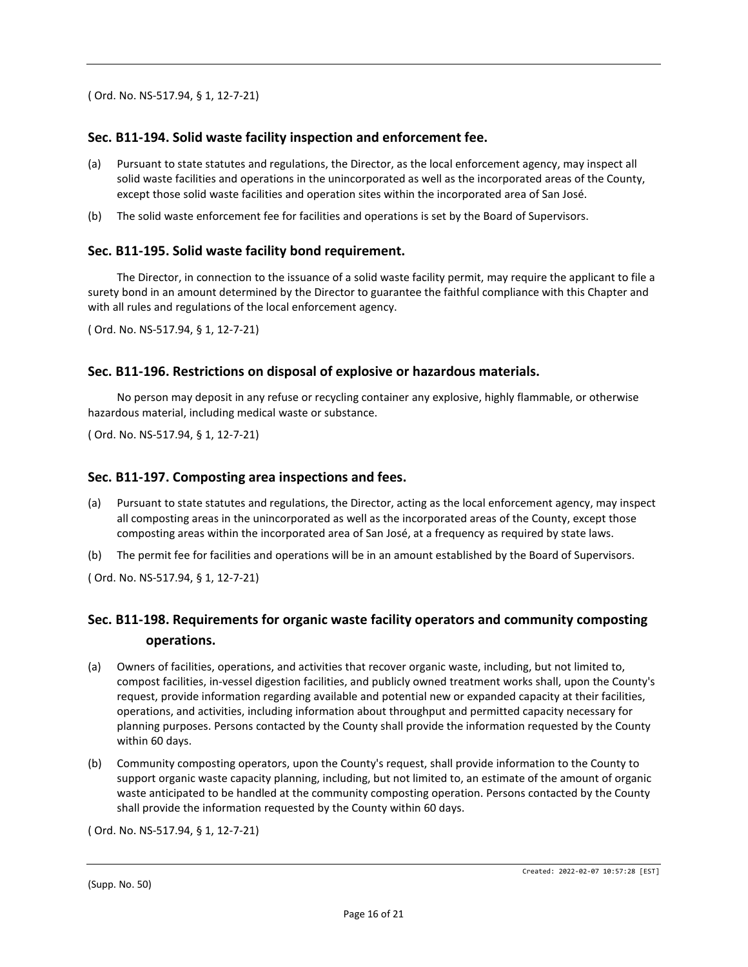## **Sec. B11-194. Solid waste facility inspection and enforcement fee.**

- (a) Pursuant to state statutes and regulations, the Director, as the local enforcement agency, may inspect all solid waste facilities and operations in the unincorporated as well as the incorporated areas of the County, except those solid waste facilities and operation sites within the incorporated area of San José.
- (b) The solid waste enforcement fee for facilities and operations is set by the Board of Supervisors.

#### **Sec. B11-195. Solid waste facility bond requirement.**

The Director, in connection to the issuance of a solid waste facility permit, may require the applicant to file a surety bond in an amount determined by the Director to guarantee the faithful compliance with this Chapter and with all rules and regulations of the local enforcement agency.

( Ord. No. NS-517.94, § 1, 12-7-21)

## **Sec. B11-196. Restrictions on disposal of explosive or hazardous materials.**

No person may deposit in any refuse or recycling container any explosive, highly flammable, or otherwise hazardous material, including medical waste or substance.

( Ord. No. NS-517.94, § 1, 12-7-21)

#### **Sec. B11-197. Composting area inspections and fees.**

- (a) Pursuant to state statutes and regulations, the Director, acting as the local enforcement agency, may inspect all composting areas in the unincorporated as well as the incorporated areas of the County, except those composting areas within the incorporated area of San José, at a frequency as required by state laws.
- (b) The permit fee for facilities and operations will be in an amount established by the Board of Supervisors.

( Ord. No. NS-517.94, § 1, 12-7-21)

## **Sec. B11-198. Requirements for organic waste facility operators and community composting operations.**

- (a) Owners of facilities, operations, and activities that recover organic waste, including, but not limited to, compost facilities, in-vessel digestion facilities, and publicly owned treatment works shall, upon the County's request, provide information regarding available and potential new or expanded capacity at their facilities, operations, and activities, including information about throughput and permitted capacity necessary for planning purposes. Persons contacted by the County shall provide the information requested by the County within 60 days.
- (b) Community composting operators, upon the County's request, shall provide information to the County to support organic waste capacity planning, including, but not limited to, an estimate of the amount of organic waste anticipated to be handled at the community composting operation. Persons contacted by the County shall provide the information requested by the County within 60 days.

( Ord. No. NS-517.94, § 1, 12-7-21)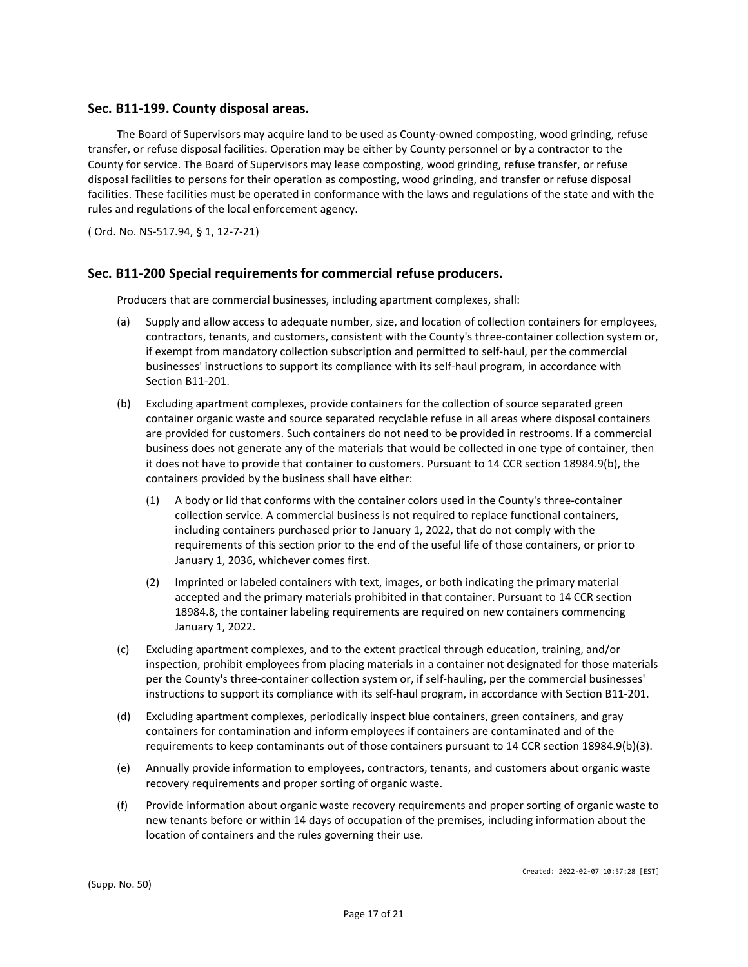#### **Sec. B11-199. County disposal areas.**

The Board of Supervisors may acquire land to be used as County-owned composting, wood grinding, refuse transfer, or refuse disposal facilities. Operation may be either by County personnel or by a contractor to the County for service. The Board of Supervisors may lease composting, wood grinding, refuse transfer, or refuse disposal facilities to persons for their operation as composting, wood grinding, and transfer or refuse disposal facilities. These facilities must be operated in conformance with the laws and regulations of the state and with the rules and regulations of the local enforcement agency.

( Ord. No. NS-517.94, § 1, 12-7-21)

#### **Sec. B11-200 Special requirements for commercial refuse producers.**

Producers that are commercial businesses, including apartment complexes, shall:

- (a) Supply and allow access to adequate number, size, and location of collection containers for employees, contractors, tenants, and customers, consistent with the County's three-container collection system or, if exempt from mandatory collection subscription and permitted to self-haul, per the commercial businesses' instructions to support its compliance with its self-haul program, in accordance with Section B11-201.
- (b) Excluding apartment complexes, provide containers for the collection of source separated green container organic waste and source separated recyclable refuse in all areas where disposal containers are provided for customers. Such containers do not need to be provided in restrooms. If a commercial business does not generate any of the materials that would be collected in one type of container, then it does not have to provide that container to customers. Pursuant to 14 CCR section 18984.9(b), the containers provided by the business shall have either:
	- (1) A body or lid that conforms with the container colors used in the County's three-container collection service. A commercial business is not required to replace functional containers, including containers purchased prior to January 1, 2022, that do not comply with the requirements of this section prior to the end of the useful life of those containers, or prior to January 1, 2036, whichever comes first.
	- (2) Imprinted or labeled containers with text, images, or both indicating the primary material accepted and the primary materials prohibited in that container. Pursuant to 14 CCR section 18984.8, the container labeling requirements are required on new containers commencing January 1, 2022.
- (c) Excluding apartment complexes, and to the extent practical through education, training, and/or inspection, prohibit employees from placing materials in a container not designated for those materials per the County's three-container collection system or, if self-hauling, per the commercial businesses' instructions to support its compliance with its self-haul program, in accordance with Section B11-201.
- (d) Excluding apartment complexes, periodically inspect blue containers, green containers, and gray containers for contamination and inform employees if containers are contaminated and of the requirements to keep contaminants out of those containers pursuant to 14 CCR section 18984.9(b)(3).
- (e) Annually provide information to employees, contractors, tenants, and customers about organic waste recovery requirements and proper sorting of organic waste.
- (f) Provide information about organic waste recovery requirements and proper sorting of organic waste to new tenants before or within 14 days of occupation of the premises, including information about the location of containers and the rules governing their use.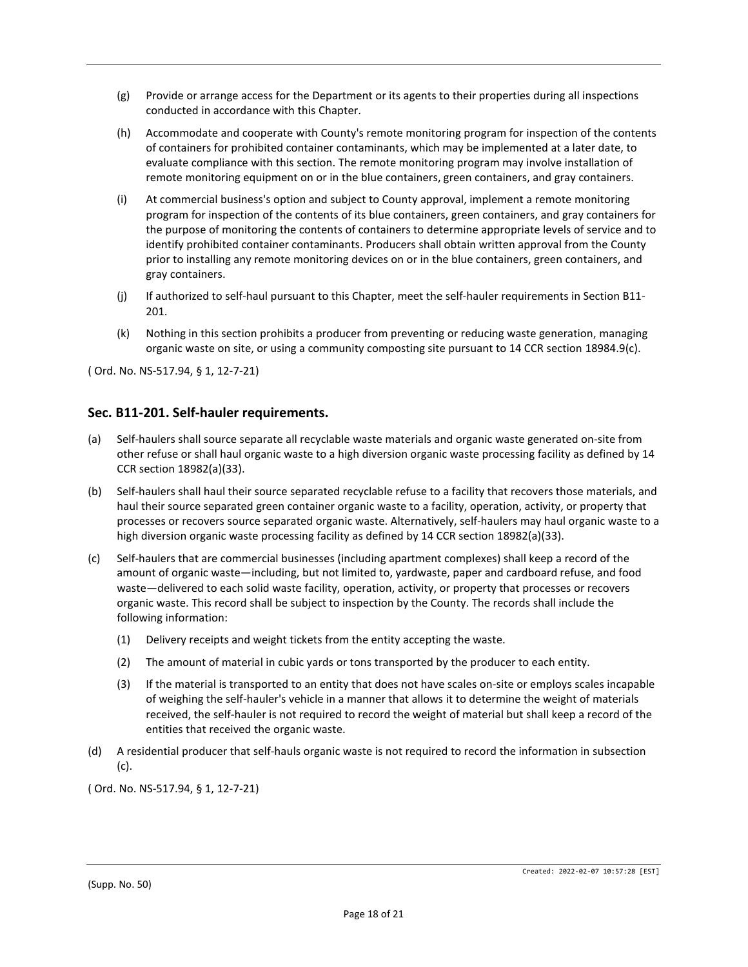- (g) Provide or arrange access for the Department or its agents to their properties during all inspections conducted in accordance with this Chapter.
- (h) Accommodate and cooperate with County's remote monitoring program for inspection of the contents of containers for prohibited container contaminants, which may be implemented at a later date, to evaluate compliance with this section. The remote monitoring program may involve installation of remote monitoring equipment on or in the blue containers, green containers, and gray containers.
- (i) At commercial business's option and subject to County approval, implement a remote monitoring program for inspection of the contents of its blue containers, green containers, and gray containers for the purpose of monitoring the contents of containers to determine appropriate levels of service and to identify prohibited container contaminants. Producers shall obtain written approval from the County prior to installing any remote monitoring devices on or in the blue containers, green containers, and gray containers.
- (j) If authorized to self-haul pursuant to this Chapter, meet the self-hauler requirements in Section B11- 201.
- (k) Nothing in this section prohibits a producer from preventing or reducing waste generation, managing organic waste on site, or using a community composting site pursuant to 14 CCR section 18984.9(c).

## **Sec. B11-201. Self-hauler requirements.**

- (a) Self-haulers shall source separate all recyclable waste materials and organic waste generated on-site from other refuse or shall haul organic waste to a high diversion organic waste processing facility as defined by 14 CCR section 18982(a)(33).
- (b) Self-haulers shall haul their source separated recyclable refuse to a facility that recovers those materials, and haul their source separated green container organic waste to a facility, operation, activity, or property that processes or recovers source separated organic waste. Alternatively, self-haulers may haul organic waste to a high diversion organic waste processing facility as defined by 14 CCR section 18982(a)(33).
- (c) Self-haulers that are commercial businesses (including apartment complexes) shall keep a record of the amount of organic waste—including, but not limited to, yardwaste, paper and cardboard refuse, and food waste—delivered to each solid waste facility, operation, activity, or property that processes or recovers organic waste. This record shall be subject to inspection by the County. The records shall include the following information:
	- (1) Delivery receipts and weight tickets from the entity accepting the waste.
	- (2) The amount of material in cubic yards or tons transported by the producer to each entity.
	- (3) If the material is transported to an entity that does not have scales on-site or employs scales incapable of weighing the self-hauler's vehicle in a manner that allows it to determine the weight of materials received, the self-hauler is not required to record the weight of material but shall keep a record of the entities that received the organic waste.
- (d) A residential producer that self-hauls organic waste is not required to record the information in subsection (c).

( Ord. No. NS-517.94, § 1, 12-7-21)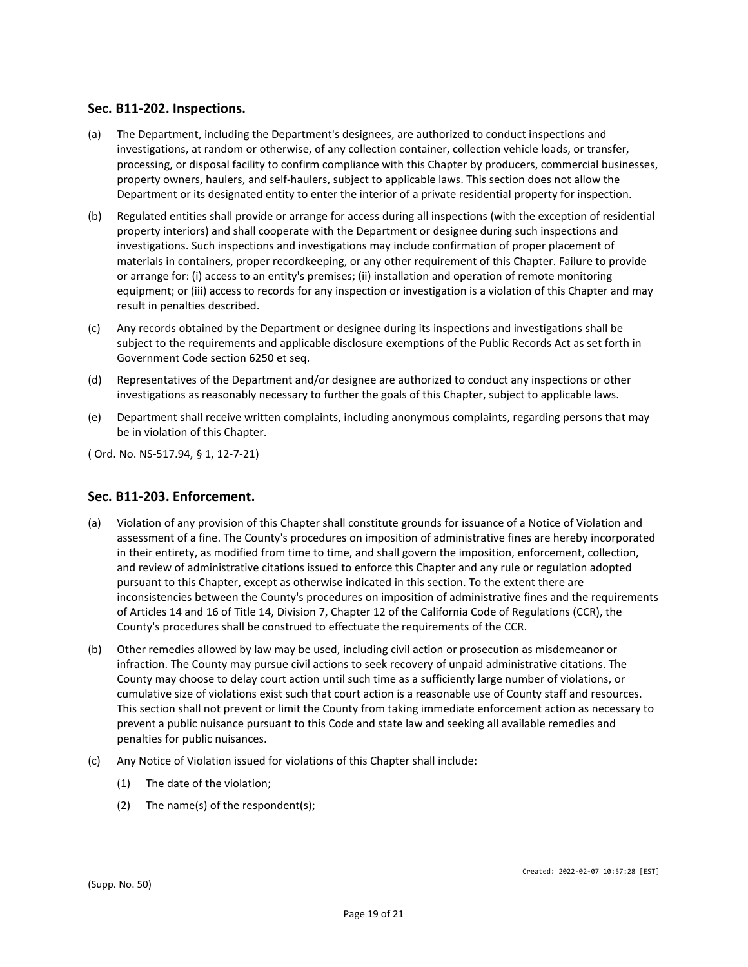## **Sec. B11-202. Inspections.**

- (a) The Department, including the Department's designees, are authorized to conduct inspections and investigations, at random or otherwise, of any collection container, collection vehicle loads, or transfer, processing, or disposal facility to confirm compliance with this Chapter by producers, commercial businesses, property owners, haulers, and self-haulers, subject to applicable laws. This section does not allow the Department or its designated entity to enter the interior of a private residential property for inspection.
- (b) Regulated entities shall provide or arrange for access during all inspections (with the exception of residential property interiors) and shall cooperate with the Department or designee during such inspections and investigations. Such inspections and investigations may include confirmation of proper placement of materials in containers, proper recordkeeping, or any other requirement of this Chapter. Failure to provide or arrange for: (i) access to an entity's premises; (ii) installation and operation of remote monitoring equipment; or (iii) access to records for any inspection or investigation is a violation of this Chapter and may result in penalties described.
- (c) Any records obtained by the Department or designee during its inspections and investigations shall be subject to the requirements and applicable disclosure exemptions of the Public Records Act as set forth in Government Code section 6250 et seq.
- (d) Representatives of the Department and/or designee are authorized to conduct any inspections or other investigations as reasonably necessary to further the goals of this Chapter, subject to applicable laws.
- (e) Department shall receive written complaints, including anonymous complaints, regarding persons that may be in violation of this Chapter.

( Ord. No. NS-517.94, § 1, 12-7-21)

## **Sec. B11-203. Enforcement.**

- (a) Violation of any provision of this Chapter shall constitute grounds for issuance of a Notice of Violation and assessment of a fine. The County's procedures on imposition of administrative fines are hereby incorporated in their entirety, as modified from time to time, and shall govern the imposition, enforcement, collection, and review of administrative citations issued to enforce this Chapter and any rule or regulation adopted pursuant to this Chapter, except as otherwise indicated in this section. To the extent there are inconsistencies between the County's procedures on imposition of administrative fines and the requirements of Articles 14 and 16 of Title 14, Division 7, Chapter 12 of the California Code of Regulations (CCR), the County's procedures shall be construed to effectuate the requirements of the CCR.
- (b) Other remedies allowed by law may be used, including civil action or prosecution as misdemeanor or infraction. The County may pursue civil actions to seek recovery of unpaid administrative citations. The County may choose to delay court action until such time as a sufficiently large number of violations, or cumulative size of violations exist such that court action is a reasonable use of County staff and resources. This section shall not prevent or limit the County from taking immediate enforcement action as necessary to prevent a public nuisance pursuant to this Code and state law and seeking all available remedies and penalties for public nuisances.
- (c) Any Notice of Violation issued for violations of this Chapter shall include:
	- (1) The date of the violation;
	- (2) The name(s) of the respondent(s);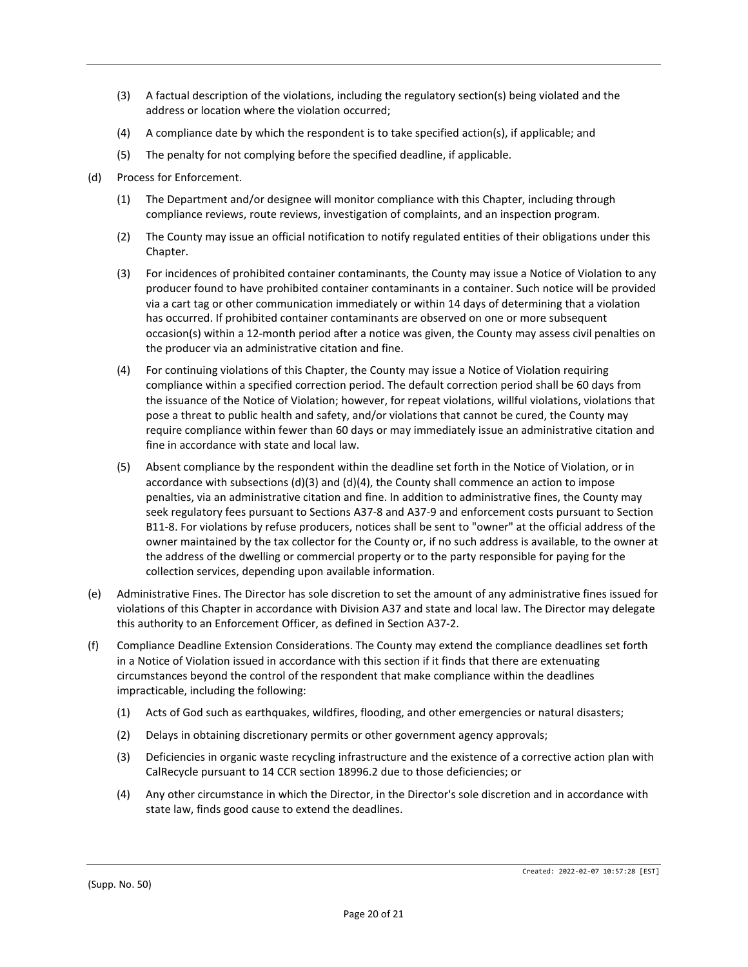- (3) A factual description of the violations, including the regulatory section(s) being violated and the address or location where the violation occurred;
- (4) A compliance date by which the respondent is to take specified action(s), if applicable; and
- (5) The penalty for not complying before the specified deadline, if applicable.
- (d) Process for Enforcement.
	- (1) The Department and/or designee will monitor compliance with this Chapter, including through compliance reviews, route reviews, investigation of complaints, and an inspection program.
	- (2) The County may issue an official notification to notify regulated entities of their obligations under this Chapter.
	- (3) For incidences of prohibited container contaminants, the County may issue a Notice of Violation to any producer found to have prohibited container contaminants in a container. Such notice will be provided via a cart tag or other communication immediately or within 14 days of determining that a violation has occurred. If prohibited container contaminants are observed on one or more subsequent occasion(s) within a 12-month period after a notice was given, the County may assess civil penalties on the producer via an administrative citation and fine.
	- (4) For continuing violations of this Chapter, the County may issue a Notice of Violation requiring compliance within a specified correction period. The default correction period shall be 60 days from the issuance of the Notice of Violation; however, for repeat violations, willful violations, violations that pose a threat to public health and safety, and/or violations that cannot be cured, the County may require compliance within fewer than 60 days or may immediately issue an administrative citation and fine in accordance with state and local law.
	- (5) Absent compliance by the respondent within the deadline set forth in the Notice of Violation, or in accordance with subsections  $(d)(3)$  and  $(d)(4)$ , the County shall commence an action to impose penalties, via an administrative citation and fine. In addition to administrative fines, the County may seek regulatory fees pursuant to Sections A37-8 and A37-9 and enforcement costs pursuant to Section B11-8. For violations by refuse producers, notices shall be sent to "owner" at the official address of the owner maintained by the tax collector for the County or, if no such address is available, to the owner at the address of the dwelling or commercial property or to the party responsible for paying for the collection services, depending upon available information.
- (e) Administrative Fines. The Director has sole discretion to set the amount of any administrative fines issued for violations of this Chapter in accordance with Division A37 and state and local law. The Director may delegate this authority to an Enforcement Officer, as defined in Section A37-2.
- (f) Compliance Deadline Extension Considerations. The County may extend the compliance deadlines set forth in a Notice of Violation issued in accordance with this section if it finds that there are extenuating circumstances beyond the control of the respondent that make compliance within the deadlines impracticable, including the following:
	- (1) Acts of God such as earthquakes, wildfires, flooding, and other emergencies or natural disasters;
	- (2) Delays in obtaining discretionary permits or other government agency approvals;
	- (3) Deficiencies in organic waste recycling infrastructure and the existence of a corrective action plan with CalRecycle pursuant to 14 CCR section 18996.2 due to those deficiencies; or
	- (4) Any other circumstance in which the Director, in the Director's sole discretion and in accordance with state law, finds good cause to extend the deadlines.